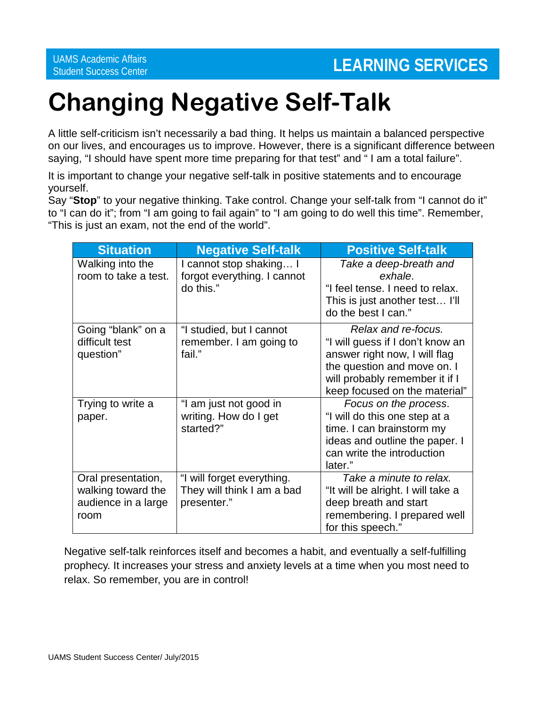## **Changing Negative Self-Talk**

A little self-criticism isn't necessarily a bad thing. It helps us maintain a balanced perspective on our lives, and encourages us to improve. However, there is a significant difference between saying, "I should have spent more time preparing for that test" and " I am a total failure".

It is important to change your negative self-talk in positive statements and to encourage yourself.

Say "**Stop**" to your negative thinking. Take control. Change your self-talk from "I cannot do it" to "I can do it"; from "I am going to fail again" to "I am going to do well this time". Remember, "This is just an exam, not the end of the world".

| <b>Situation</b>                                                        | <b>Negative Self-talk</b>                                               | <b>Positive Self-talk</b>                                                                                                                                                                  |
|-------------------------------------------------------------------------|-------------------------------------------------------------------------|--------------------------------------------------------------------------------------------------------------------------------------------------------------------------------------------|
| Walking into the<br>room to take a test.                                | I cannot stop shaking I<br>forgot everything. I cannot<br>do this."     | Take a deep-breath and<br>exhale.<br>"I feel tense. I need to relax.<br>This is just another test I'll<br>do the best I can."                                                              |
| Going "blank" on a<br>difficult test<br>question"                       | "I studied, but I cannot<br>remember. I am going to<br>fail."           | Relax and re-focus.<br>"I will guess if I don't know an<br>answer right now, I will flag<br>the question and move on. I<br>will probably remember it if I<br>keep focused on the material" |
| Trying to write a<br>paper.                                             | "I am just not good in<br>writing. How do I get<br>started?"            | Focus on the process.<br>"I will do this one step at a<br>time. I can brainstorm my<br>ideas and outline the paper. I<br>can write the introduction<br>later."                             |
| Oral presentation,<br>walking toward the<br>audience in a large<br>room | "I will forget everything.<br>They will think I am a bad<br>presenter." | Take a minute to relax.<br>"It will be alright. I will take a<br>deep breath and start<br>remembering. I prepared well<br>for this speech."                                                |

Negative self-talk reinforces itself and becomes a habit, and eventually a self-fulfilling prophecy. It increases your stress and anxiety levels at a time when you most need to relax. So remember, you are in control!